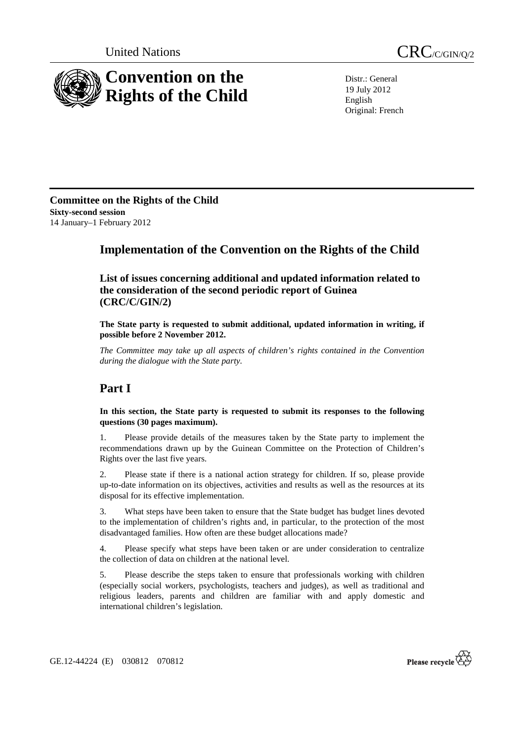



Distr.: General 19 July 2012 English Original: French

**Committee on the Rights of the Child Sixty-second session**  14 January–1 February 2012

## **Implementation of the Convention on the Rights of the Child**

 **List of issues concerning additional and updated information related to the consideration of the second periodic report of Guinea (CRC/C/GIN/2)** 

**The State party is requested to submit additional, updated information in writing, if possible before 2 November 2012.** 

*The Committee may take up all aspects of children's rights contained in the Convention during the dialogue with the State party.* 

# **Part I**

**In this section, the State party is requested to submit its responses to the following questions (30 pages maximum).** 

1. Please provide details of the measures taken by the State party to implement the recommendations drawn up by the Guinean Committee on the Protection of Children's Rights over the last five years.

2. Please state if there is a national action strategy for children. If so, please provide up-to-date information on its objectives, activities and results as well as the resources at its disposal for its effective implementation.

3. What steps have been taken to ensure that the State budget has budget lines devoted to the implementation of children's rights and, in particular, to the protection of the most disadvantaged families. How often are these budget allocations made?

4. Please specify what steps have been taken or are under consideration to centralize the collection of data on children at the national level.

5. Please describe the steps taken to ensure that professionals working with children (especially social workers, psychologists, teachers and judges), as well as traditional and religious leaders, parents and children are familiar with and apply domestic and international children's legislation.

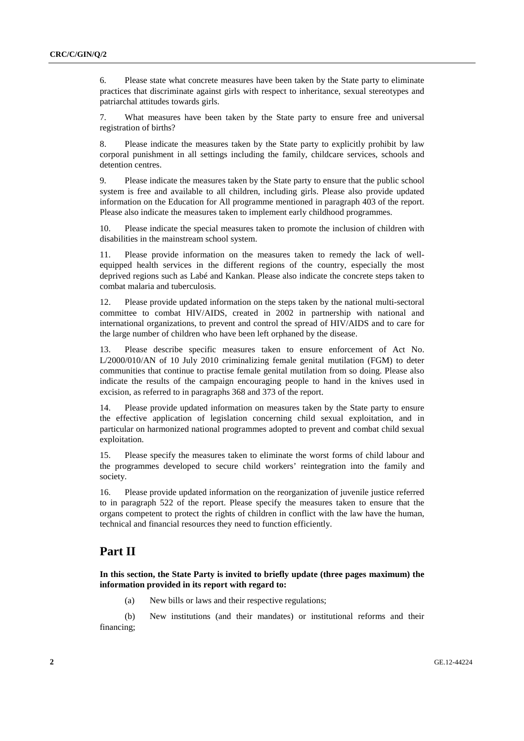6. Please state what concrete measures have been taken by the State party to eliminate practices that discriminate against girls with respect to inheritance, sexual stereotypes and patriarchal attitudes towards girls.

7. What measures have been taken by the State party to ensure free and universal registration of births?

8. Please indicate the measures taken by the State party to explicitly prohibit by law corporal punishment in all settings including the family, childcare services, schools and detention centres.

9. Please indicate the measures taken by the State party to ensure that the public school system is free and available to all children, including girls. Please also provide updated information on the Education for All programme mentioned in paragraph 403 of the report. Please also indicate the measures taken to implement early childhood programmes.

10. Please indicate the special measures taken to promote the inclusion of children with disabilities in the mainstream school system.

11. Please provide information on the measures taken to remedy the lack of wellequipped health services in the different regions of the country, especially the most deprived regions such as Labé and Kankan. Please also indicate the concrete steps taken to combat malaria and tuberculosis.

12. Please provide updated information on the steps taken by the national multi-sectoral committee to combat HIV/AIDS, created in 2002 in partnership with national and international organizations, to prevent and control the spread of HIV/AIDS and to care for the large number of children who have been left orphaned by the disease.

13. Please describe specific measures taken to ensure enforcement of Act No. L/2000/010/AN of 10 July 2010 criminalizing female genital mutilation (FGM) to deter communities that continue to practise female genital mutilation from so doing. Please also indicate the results of the campaign encouraging people to hand in the knives used in excision, as referred to in paragraphs 368 and 373 of the report.

14. Please provide updated information on measures taken by the State party to ensure the effective application of legislation concerning child sexual exploitation, and in particular on harmonized national programmes adopted to prevent and combat child sexual exploitation.

15. Please specify the measures taken to eliminate the worst forms of child labour and the programmes developed to secure child workers' reintegration into the family and society.

16. Please provide updated information on the reorganization of juvenile justice referred to in paragraph 522 of the report. Please specify the measures taken to ensure that the organs competent to protect the rights of children in conflict with the law have the human, technical and financial resources they need to function efficiently.

### **Part II**

**In this section, the State Party is invited to briefly update (three pages maximum) the information provided in its report with regard to:** 

(a) New bills or laws and their respective regulations;

(b) New institutions (and their mandates) or institutional reforms and their financing;